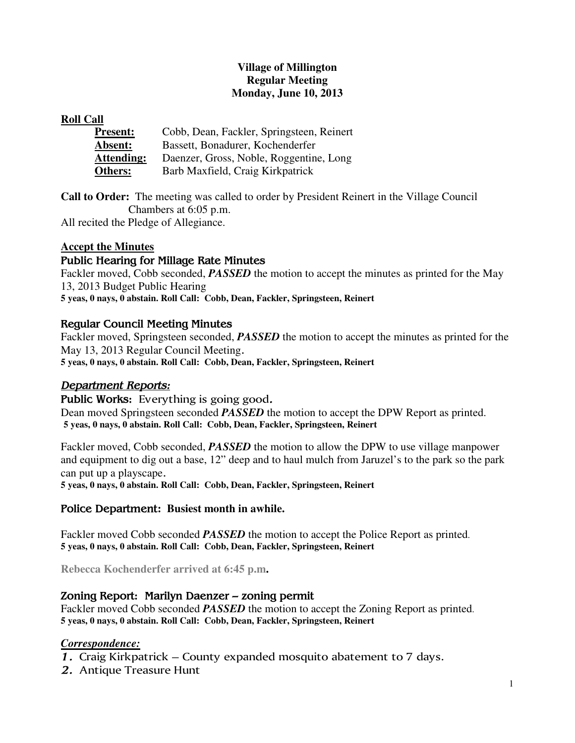# **Village of Millington Regular Meeting Monday, June 10, 2013**

#### **Roll Call**

| <b>Present:</b>   | Cobb, Dean, Fackler, Springsteen, Reinert |
|-------------------|-------------------------------------------|
| <b>Absent:</b>    | Bassett, Bonadurer, Kochenderfer          |
| <b>Attending:</b> | Daenzer, Gross, Noble, Roggentine, Long   |
| Others:           | Barb Maxfield, Craig Kirkpatrick          |

**Call to Order:** The meeting was called to order by President Reinert in the Village Council Chambers at 6:05 p.m.

All recited the Pledge of Allegiance.

# **Accept the Minutes**

#### Public Hearing for Millage Rate Minutes

Fackler moved, Cobb seconded, *PASSED* the motion to accept the minutes as printed for the May 13, 2013 Budget Public Hearing **5 yeas, 0 nays, 0 abstain. Roll Call: Cobb, Dean, Fackler, Springsteen, Reinert** 

#### Regular Council Meeting Minutes

Fackler moved, Springsteen seconded, *PASSED* the motion to accept the minutes as printed for the May 13, 2013 Regular Council Meeting. **5 yeas, 0 nays, 0 abstain. Roll Call: Cobb, Dean, Fackler, Springsteen, Reinert** 

# Department Reports:

Public Works: Everything is going good. Dean moved Springsteen seconded *PASSED* the motion to accept the DPW Report as printed. **5 yeas, 0 nays, 0 abstain. Roll Call: Cobb, Dean, Fackler, Springsteen, Reinert** 

Fackler moved, Cobb seconded, *PASSED* the motion to allow the DPW to use village manpower and equipment to dig out a base, 12" deep and to haul mulch from Jaruzel's to the park so the park can put up a playscape.

**5 yeas, 0 nays, 0 abstain. Roll Call: Cobb, Dean, Fackler, Springsteen, Reinert** 

#### Police Department**: Busiest month in awhile.**

Fackler moved Cobb seconded *PASSED* the motion to accept the Police Report as printed. **5 yeas, 0 nays, 0 abstain. Roll Call: Cobb, Dean, Fackler, Springsteen, Reinert** 

**Rebecca Kochenderfer arrived at 6:45 p.m.** 

# Zoning Report: Marilyn Daenzer – zoning permit

Fackler moved Cobb seconded *PASSED* the motion to accept the Zoning Report as printed. **5 yeas, 0 nays, 0 abstain. Roll Call: Cobb, Dean, Fackler, Springsteen, Reinert** 

#### *Correspondence:*

- 1. Craig Kirkpatrick County expanded mosquito abatement to 7 days.
- 2. Antique Treasure Hunt